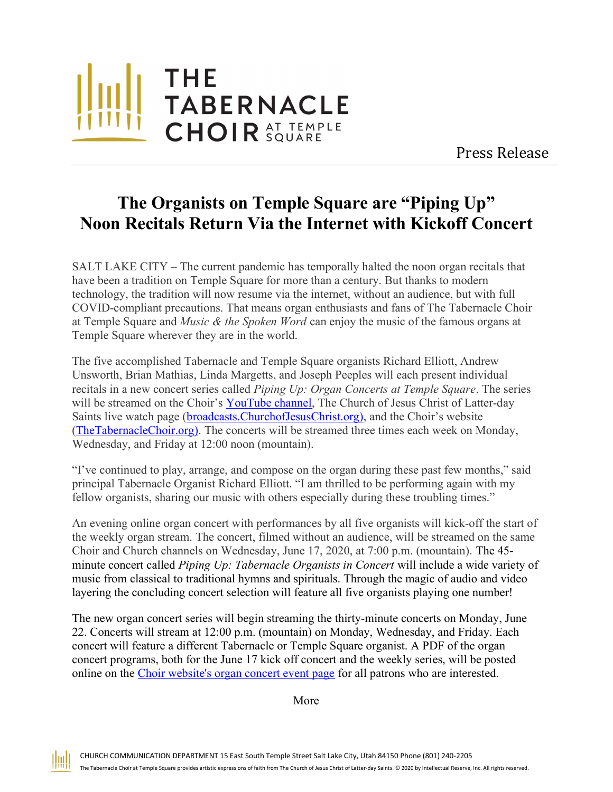

Press Release

## The Organists on Temple Square are "Piping Up" Noon Recitals Return Via the Internet with Kickoff Concert

SALT LAKE CITY – The current pandemic has temporally halted the noon organ recitals that have been a tradition on Temple Square for more than a century. But thanks to modern technology, the tradition will now resume via the internet, without an audience, but with full COVID-compliant precautions. That means organ enthusiasts and fans of The Tabernacle Choir at Temple Square and *Music & the Spoken Word* can enjoy the music of the famous organs at Temple Square wherever they are in the world.

The five accomplished Tabernacle and Temple Square organists Richard Elliott, Andrew Unsworth, Brian Mathias, Linda Margetts, and Joseph Peeples will each present individual recitals in a new concert series called Piping Up: Organ Concerts at Temple Square. The series will be streamed on the Choir's YouTube channel, The Church of Jesus Christ of Latter-day Saints live watch page (broadcasts.ChurchofJesusChrist.org), and the Choir's website (TheTabernacleChoir.org). The concerts will be streamed three times each week on Monday, Wednesday, and Friday at 12:00 noon (mountain).

"I've continued to play, arrange, and compose on the organ during these past few months," said principal Tabernacle Organist Richard Elliott. "I am thrilled to be performing again with my fellow organists, sharing our music with others especially during these troubling times."

An evening online organ concert with performances by all five organists will kick-off the start of the weekly organ stream. The concert, filmed without an audience, will be streamed on the same Choir and Church channels on Wednesday, June 17, 2020, at 7:00 p.m. (mountain). The 45 minute concert called *Piping Up: Tabernacle Organists in Concert* will include a wide variety of music from classical to traditional hymns and spirituals. Through the magic of audio and video layering the concluding concert selection will feature all five organists playing one number!

The new organ concert series will begin streaming the thirty-minute concerts on Monday, June 22. Concerts will stream at 12:00 p.m. (mountain) on Monday, Wednesday, and Friday. Each concert will feature a different Tabernacle or Temple Square organist. A PDF of the organ concert programs, both for the June 17 kick off concert and the weekly series, will be posted online on the Choir website's organ concert event page for all patrons who are interested.

More